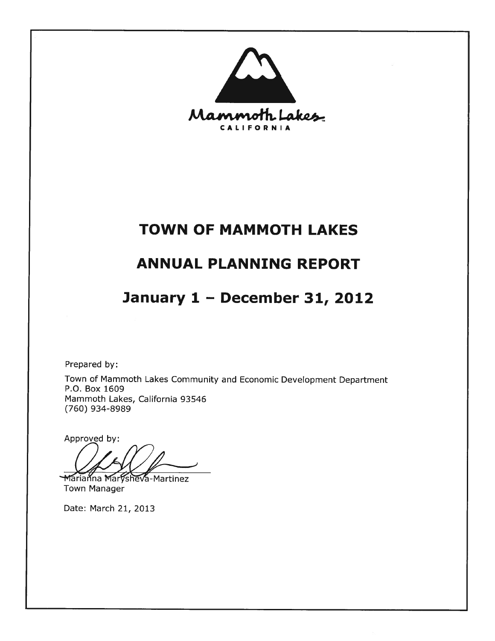

# **TOWN OF MAMMOTH LAKES**

# **ANNUAL PLANNING REPORT**

# January 1 - December 31, 2012

Prepared by:

Town of Mammoth Lakes Community and Economic Development Department P.O. Box 1609 Mammoth Lakes, California 93546 (760) 934-8989

Approved by:

Marianna Marysheva-Martinez **Town Manager** 

Date: March 21, 2013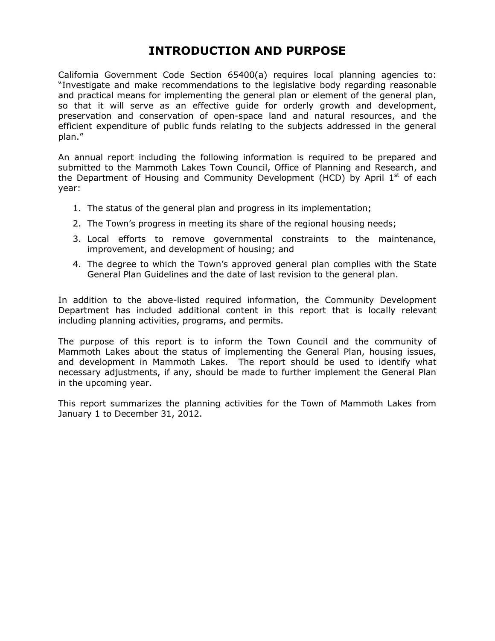## **INTRODUCTION AND PURPOSE**

California Government Code Section 65400(a) requires local planning agencies to: "Investigate and make recommendations to the legislative body regarding reasonable and practical means for implementing the general plan or element of the general plan, so that it will serve as an effective guide for orderly growth and development, preservation and conservation of open-space land and natural resources, and the efficient expenditure of public funds relating to the subjects addressed in the general plan."

An annual report including the following information is required to be prepared and submitted to the Mammoth Lakes Town Council, Office of Planning and Research, and the Department of Housing and Community Development (HCD) by April  $1<sup>st</sup>$  of each year:

- 1. The status of the general plan and progress in its implementation;
- 2. The Town's progress in meeting its share of the regional housing needs;
- 3. Local efforts to remove governmental constraints to the maintenance, improvement, and development of housing; and
- 4. The degree to which the Town's approved general plan complies with the State General Plan Guidelines and the date of last revision to the general plan.

In addition to the above-listed required information, the Community Development Department has included additional content in this report that is locally relevant including planning activities, programs, and permits.

The purpose of this report is to inform the Town Council and the community of Mammoth Lakes about the status of implementing the General Plan, housing issues, and development in Mammoth Lakes. The report should be used to identify what necessary adjustments, if any, should be made to further implement the General Plan in the upcoming year.

This report summarizes the planning activities for the Town of Mammoth Lakes from January 1 to December 31, 2012.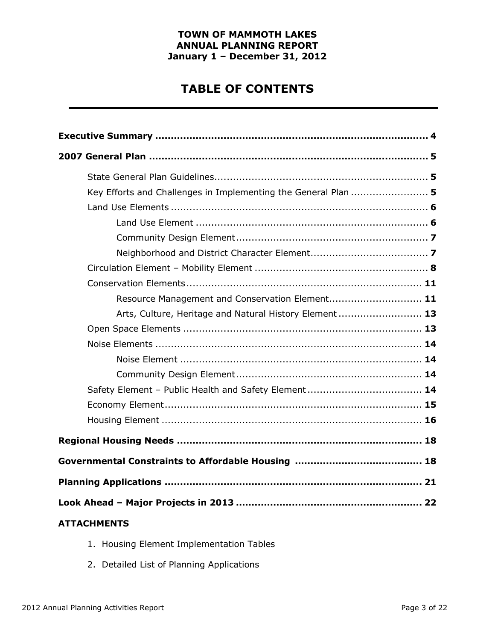## **TABLE OF CONTENTS**

| Key Efforts and Challenges in Implementing the General Plan  5 |
|----------------------------------------------------------------|
|                                                                |
|                                                                |
|                                                                |
|                                                                |
|                                                                |
|                                                                |
| Resource Management and Conservation Element 11                |
| Arts, Culture, Heritage and Natural History Element  13        |
|                                                                |
|                                                                |
|                                                                |
|                                                                |
|                                                                |
|                                                                |
|                                                                |
|                                                                |
|                                                                |
|                                                                |
|                                                                |
| <b>ATTACHMENTS</b>                                             |

- 1. Housing Element Implementation Tables
- 2. Detailed List of Planning Applications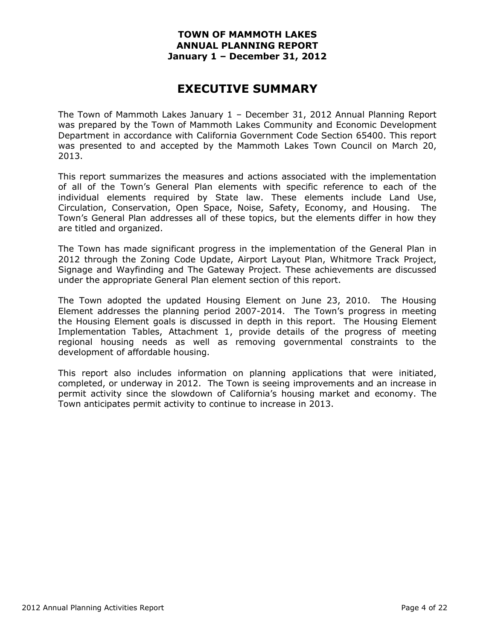## **EXECUTIVE SUMMARY**

The Town of Mammoth Lakes January 1 – December 31, 2012 Annual Planning Report was prepared by the Town of Mammoth Lakes Community and Economic Development Department in accordance with California Government Code Section 65400. This report was presented to and accepted by the Mammoth Lakes Town Council on March 20, 2013.

This report summarizes the measures and actions associated with the implementation of all of the Town's General Plan elements with specific reference to each of the individual elements required by State law. These elements include Land Use, Circulation, Conservation, Open Space, Noise, Safety, Economy, and Housing. The Town's General Plan addresses all of these topics, but the elements differ in how they are titled and organized.

The Town has made significant progress in the implementation of the General Plan in 2012 through the Zoning Code Update, Airport Layout Plan, Whitmore Track Project, Signage and Wayfinding and The Gateway Project. These achievements are discussed under the appropriate General Plan element section of this report.

The Town adopted the updated Housing Element on June 23, 2010. The Housing Element addresses the planning period 2007-2014. The Town's progress in meeting the Housing Element goals is discussed in depth in this report. The Housing Element Implementation Tables, Attachment 1, provide details of the progress of meeting regional housing needs as well as removing governmental constraints to the development of affordable housing.

This report also includes information on planning applications that were initiated, completed, or underway in 2012. The Town is seeing improvements and an increase in permit activity since the slowdown of California's housing market and economy. The Town anticipates permit activity to continue to increase in 2013.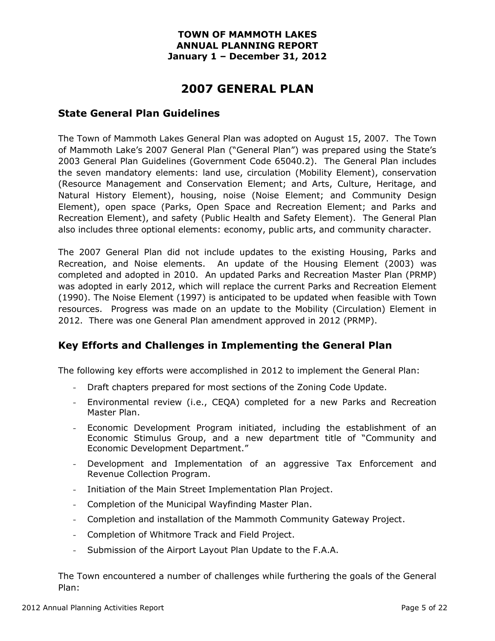## **2007 GENERAL PLAN**

## **State General Plan Guidelines**

The Town of Mammoth Lakes General Plan was adopted on August 15, 2007. The Town of Mammoth Lake's 2007 General Plan ("General Plan") was prepared using the State's 2003 General Plan Guidelines (Government Code 65040.2). The General Plan includes the seven mandatory elements: land use, circulation (Mobility Element), conservation (Resource Management and Conservation Element; and Arts, Culture, Heritage, and Natural History Element), housing, noise (Noise Element; and Community Design Element), open space (Parks, Open Space and Recreation Element; and Parks and Recreation Element), and safety (Public Health and Safety Element). The General Plan also includes three optional elements: economy, public arts, and community character.

The 2007 General Plan did not include updates to the existing Housing, Parks and Recreation, and Noise elements. An update of the Housing Element (2003) was completed and adopted in 2010. An updated Parks and Recreation Master Plan (PRMP) was adopted in early 2012, which will replace the current Parks and Recreation Element (1990). The Noise Element (1997) is anticipated to be updated when feasible with Town resources. Progress was made on an update to the Mobility (Circulation) Element in 2012. There was one General Plan amendment approved in 2012 (PRMP).

## **Key Efforts and Challenges in Implementing the General Plan**

The following key efforts were accomplished in 2012 to implement the General Plan:

- Draft chapters prepared for most sections of the Zoning Code Update.
- Environmental review (i.e., CEQA) completed for a new Parks and Recreation Master Plan.
- Economic Development Program initiated, including the establishment of an Economic Stimulus Group, and a new department title of "Community and Economic Development Department."
- Development and Implementation of an aggressive Tax Enforcement and Revenue Collection Program.
- Initiation of the Main Street Implementation Plan Project.
- Completion of the Municipal Wayfinding Master Plan.
- Completion and installation of the Mammoth Community Gateway Project.
- Completion of Whitmore Track and Field Project.
- Submission of the Airport Layout Plan Update to the F.A.A.

The Town encountered a number of challenges while furthering the goals of the General Plan: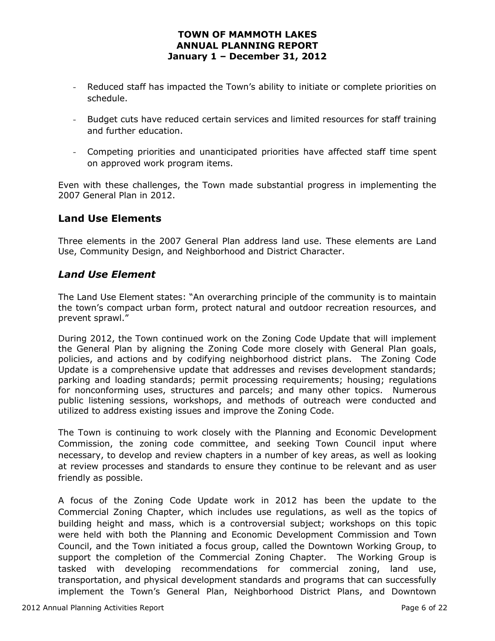- Reduced staff has impacted the Town's ability to initiate or complete priorities on schedule.
- Budget cuts have reduced certain services and limited resources for staff training and further education.
- Competing priorities and unanticipated priorities have affected staff time spent on approved work program items.

Even with these challenges, the Town made substantial progress in implementing the 2007 General Plan in 2012.

## **Land Use Elements**

Three elements in the 2007 General Plan address land use. These elements are Land Use, Community Design, and Neighborhood and District Character.

## *Land Use Element*

The Land Use Element states: "An overarching principle of the community is to maintain the town's compact urban form, protect natural and outdoor recreation resources, and prevent sprawl."

During 2012, the Town continued work on the Zoning Code Update that will implement the General Plan by aligning the Zoning Code more closely with General Plan goals, policies, and actions and by codifying neighborhood district plans. The Zoning Code Update is a comprehensive update that addresses and revises development standards; parking and loading standards; permit processing requirements; housing; regulations for nonconforming uses, structures and parcels; and many other topics. Numerous public listening sessions, workshops, and methods of outreach were conducted and utilized to address existing issues and improve the Zoning Code.

The Town is continuing to work closely with the Planning and Economic Development Commission, the zoning code committee, and seeking Town Council input where necessary, to develop and review chapters in a number of key areas, as well as looking at review processes and standards to ensure they continue to be relevant and as user friendly as possible.

A focus of the Zoning Code Update work in 2012 has been the update to the Commercial Zoning Chapter, which includes use regulations, as well as the topics of building height and mass, which is a controversial subject; workshops on this topic were held with both the Planning and Economic Development Commission and Town Council, and the Town initiated a focus group, called the Downtown Working Group, to support the completion of the Commercial Zoning Chapter. The Working Group is tasked with developing recommendations for commercial zoning, land use, transportation, and physical development standards and programs that can successfully implement the Town's General Plan, Neighborhood District Plans, and Downtown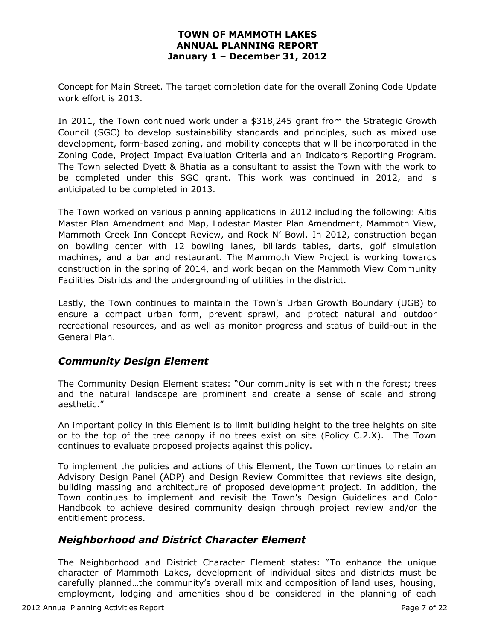Concept for Main Street. The target completion date for the overall Zoning Code Update work effort is 2013.

In 2011, the Town continued work under a \$318,245 grant from the Strategic Growth Council (SGC) to develop sustainability standards and principles, such as mixed use development, form-based zoning, and mobility concepts that will be incorporated in the Zoning Code, Project Impact Evaluation Criteria and an Indicators Reporting Program. The Town selected Dyett & Bhatia as a consultant to assist the Town with the work to be completed under this SGC grant. This work was continued in 2012, and is anticipated to be completed in 2013.

The Town worked on various planning applications in 2012 including the following: Altis Master Plan Amendment and Map, Lodestar Master Plan Amendment, Mammoth View, Mammoth Creek Inn Concept Review, and Rock N' Bowl. In 2012, construction began on bowling center with 12 bowling lanes, billiards tables, darts, golf simulation machines, and a bar and restaurant. The Mammoth View Project is working towards construction in the spring of 2014, and work began on the Mammoth View Community Facilities Districts and the undergrounding of utilities in the district.

Lastly, the Town continues to maintain the Town's Urban Growth Boundary (UGB) to ensure a compact urban form, prevent sprawl, and protect natural and outdoor recreational resources, and as well as monitor progress and status of build-out in the General Plan.

## *Community Design Element*

The Community Design Element states: "Our community is set within the forest; trees and the natural landscape are prominent and create a sense of scale and strong aesthetic."

An important policy in this Element is to limit building height to the tree heights on site or to the top of the tree canopy if no trees exist on site (Policy C.2.X). The Town continues to evaluate proposed projects against this policy.

To implement the policies and actions of this Element, the Town continues to retain an Advisory Design Panel (ADP) and Design Review Committee that reviews site design, building massing and architecture of proposed development project. In addition, the Town continues to implement and revisit the Town's Design Guidelines and Color Handbook to achieve desired community design through project review and/or the entitlement process.

## *Neighborhood and District Character Element*

The Neighborhood and District Character Element states: "To enhance the unique character of Mammoth Lakes, development of individual sites and districts must be carefully planned…the community's overall mix and composition of land uses, housing, employment, lodging and amenities should be considered in the planning of each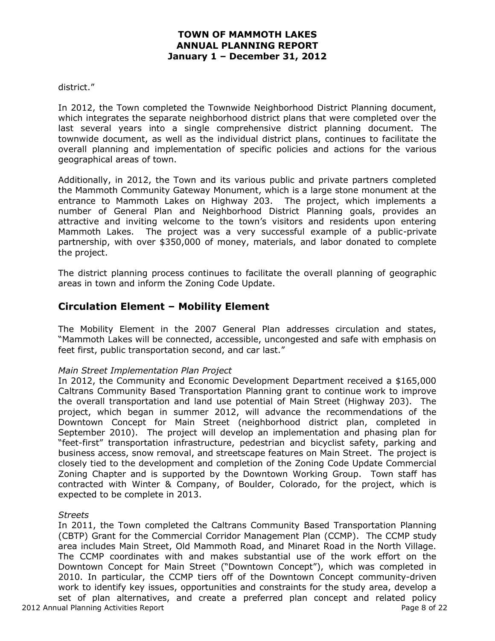#### district."

In 2012, the Town completed the Townwide Neighborhood District Planning document, which integrates the separate neighborhood district plans that were completed over the last several years into a single comprehensive district planning document. The townwide document, as well as the individual district plans, continues to facilitate the overall planning and implementation of specific policies and actions for the various geographical areas of town.

Additionally, in 2012, the Town and its various public and private partners completed the Mammoth Community Gateway Monument, which is a large stone monument at the entrance to Mammoth Lakes on Highway 203. The project, which implements a number of General Plan and Neighborhood District Planning goals, provides an attractive and inviting welcome to the town's visitors and residents upon entering Mammoth Lakes. The project was a very successful example of a public-private partnership, with over \$350,000 of money, materials, and labor donated to complete the project.

The district planning process continues to facilitate the overall planning of geographic areas in town and inform the Zoning Code Update.

## **Circulation Element – Mobility Element**

The Mobility Element in the 2007 General Plan addresses circulation and states, "Mammoth Lakes will be connected, accessible, uncongested and safe with emphasis on feet first, public transportation second, and car last."

#### *Main Street Implementation Plan Project*

In 2012, the Community and Economic Development Department received a \$165,000 Caltrans Community Based Transportation Planning grant to continue work to improve the overall transportation and land use potential of Main Street (Highway 203). The project, which began in summer 2012, will advance the recommendations of the Downtown Concept for Main Street (neighborhood district plan, completed in September 2010). The project will develop an implementation and phasing plan for "feet-first" transportation infrastructure, pedestrian and bicyclist safety, parking and business access, snow removal, and streetscape features on Main Street. The project is closely tied to the development and completion of the Zoning Code Update Commercial Zoning Chapter and is supported by the Downtown Working Group. Town staff has contracted with Winter & Company, of Boulder, Colorado, for the project, which is expected to be complete in 2013.

#### *Streets*

2012 Annual Planning Activities Report Page 8 of 22 In 2011, the Town completed the Caltrans Community Based Transportation Planning (CBTP) Grant for the Commercial Corridor Management Plan (CCMP). The CCMP study area includes Main Street, Old Mammoth Road, and Minaret Road in the North Village. The CCMP coordinates with and makes substantial use of the work effort on the Downtown Concept for Main Street ("Downtown Concept"), which was completed in 2010. In particular, the CCMP tiers off of the Downtown Concept community-driven work to identify key issues, opportunities and constraints for the study area, develop a set of plan alternatives, and create a preferred plan concept and related policy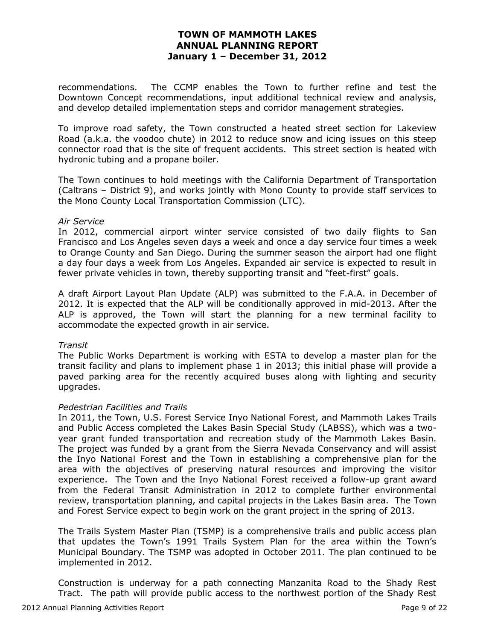recommendations. The CCMP enables the Town to further refine and test the Downtown Concept recommendations, input additional technical review and analysis, and develop detailed implementation steps and corridor management strategies.

To improve road safety, the Town constructed a heated street section for Lakeview Road (a.k.a. the voodoo chute) in 2012 to reduce snow and icing issues on this steep connector road that is the site of frequent accidents. This street section is heated with hydronic tubing and a propane boiler.

The Town continues to hold meetings with the California Department of Transportation (Caltrans – District 9), and works jointly with Mono County to provide staff services to the Mono County Local Transportation Commission (LTC).

#### *Air Service*

In 2012, commercial airport winter service consisted of two daily flights to San Francisco and Los Angeles seven days a week and once a day service four times a week to Orange County and San Diego. During the summer season the airport had one flight a day four days a week from Los Angeles. Expanded air service is expected to result in fewer private vehicles in town, thereby supporting transit and "feet-first" goals.

A draft Airport Layout Plan Update (ALP) was submitted to the F.A.A. in December of 2012. It is expected that the ALP will be conditionally approved in mid-2013. After the ALP is approved, the Town will start the planning for a new terminal facility to accommodate the expected growth in air service.

#### *Transit*

The Public Works Department is working with ESTA to develop a master plan for the transit facility and plans to implement phase 1 in 2013; this initial phase will provide a paved parking area for the recently acquired buses along with lighting and security upgrades.

#### *Pedestrian Facilities and Trails*

In 2011, the Town, U.S. Forest Service Inyo National Forest, and Mammoth Lakes Trails and Public Access completed the Lakes Basin Special Study (LABSS), which was a twoyear grant funded transportation and recreation study of the Mammoth Lakes Basin. The project was funded by a grant from the Sierra Nevada Conservancy and will assist the Inyo National Forest and the Town in establishing a comprehensive plan for the area with the objectives of preserving natural resources and improving the visitor experience. The Town and the Inyo National Forest received a follow-up grant award from the Federal Transit Administration in 2012 to complete further environmental review, transportation planning, and capital projects in the Lakes Basin area. The Town and Forest Service expect to begin work on the grant project in the spring of 2013.

The Trails System Master Plan (TSMP) is a comprehensive trails and public access plan that updates the Town's 1991 Trails System Plan for the area within the Town's Municipal Boundary. The TSMP was adopted in October 2011. The plan continued to be implemented in 2012.

Construction is underway for a path connecting Manzanita Road to the Shady Rest Tract. The path will provide public access to the northwest portion of the Shady Rest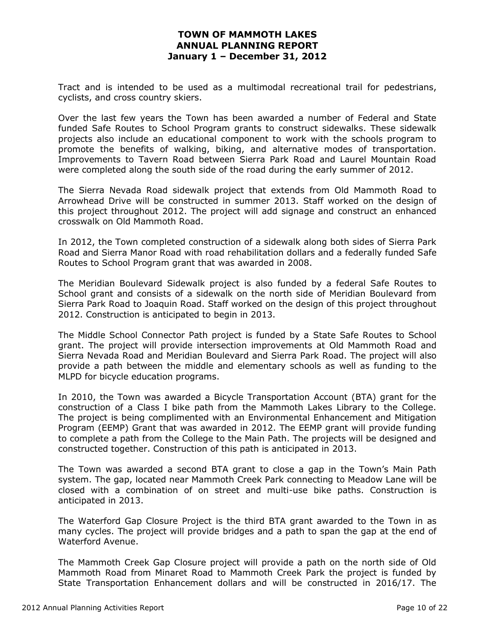Tract and is intended to be used as a multimodal recreational trail for pedestrians, cyclists, and cross country skiers.

Over the last few years the Town has been awarded a number of Federal and State funded Safe Routes to School Program grants to construct sidewalks. These sidewalk projects also include an educational component to work with the schools program to promote the benefits of walking, biking, and alternative modes of transportation. Improvements to Tavern Road between Sierra Park Road and Laurel Mountain Road were completed along the south side of the road during the early summer of 2012.

The Sierra Nevada Road sidewalk project that extends from Old Mammoth Road to Arrowhead Drive will be constructed in summer 2013. Staff worked on the design of this project throughout 2012. The project will add signage and construct an enhanced crosswalk on Old Mammoth Road.

In 2012, the Town completed construction of a sidewalk along both sides of Sierra Park Road and Sierra Manor Road with road rehabilitation dollars and a federally funded Safe Routes to School Program grant that was awarded in 2008.

The Meridian Boulevard Sidewalk project is also funded by a federal Safe Routes to School grant and consists of a sidewalk on the north side of Meridian Boulevard from Sierra Park Road to Joaquin Road. Staff worked on the design of this project throughout 2012. Construction is anticipated to begin in 2013.

The Middle School Connector Path project is funded by a State Safe Routes to School grant. The project will provide intersection improvements at Old Mammoth Road and Sierra Nevada Road and Meridian Boulevard and Sierra Park Road. The project will also provide a path between the middle and elementary schools as well as funding to the MLPD for bicycle education programs.

In 2010, the Town was awarded a Bicycle Transportation Account (BTA) grant for the construction of a Class I bike path from the Mammoth Lakes Library to the College. The project is being complimented with an Environmental Enhancement and Mitigation Program (EEMP) Grant that was awarded in 2012. The EEMP grant will provide funding to complete a path from the College to the Main Path. The projects will be designed and constructed together. Construction of this path is anticipated in 2013.

The Town was awarded a second BTA grant to close a gap in the Town's Main Path system. The gap, located near Mammoth Creek Park connecting to Meadow Lane will be closed with a combination of on street and multi-use bike paths. Construction is anticipated in 2013.

The Waterford Gap Closure Project is the third BTA grant awarded to the Town in as many cycles. The project will provide bridges and a path to span the gap at the end of Waterford Avenue.

The Mammoth Creek Gap Closure project will provide a path on the north side of Old Mammoth Road from Minaret Road to Mammoth Creek Park the project is funded by State Transportation Enhancement dollars and will be constructed in 2016/17. The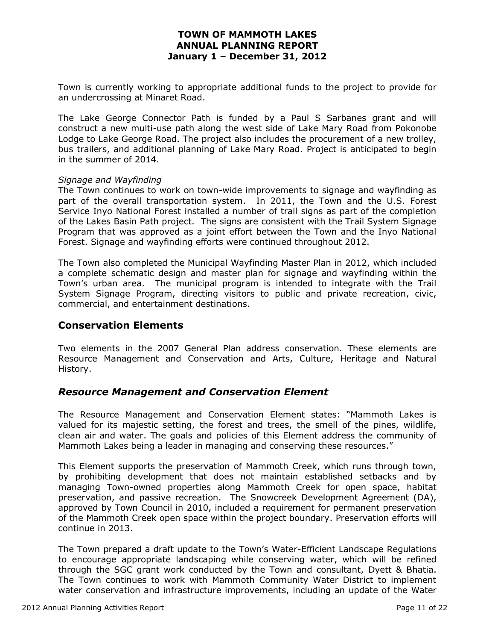Town is currently working to appropriate additional funds to the project to provide for an undercrossing at Minaret Road.

The Lake George Connector Path is funded by a Paul S Sarbanes grant and will construct a new multi-use path along the west side of Lake Mary Road from Pokonobe Lodge to Lake George Road. The project also includes the procurement of a new trolley, bus trailers, and additional planning of Lake Mary Road. Project is anticipated to begin in the summer of 2014.

### *Signage and Wayfinding*

The Town continues to work on town-wide improvements to signage and wayfinding as part of the overall transportation system. In 2011, the Town and the U.S. Forest Service Inyo National Forest installed a number of trail signs as part of the completion of the Lakes Basin Path project. The signs are consistent with the Trail System Signage Program that was approved as a joint effort between the Town and the Inyo National Forest. Signage and wayfinding efforts were continued throughout 2012.

The Town also completed the Municipal Wayfinding Master Plan in 2012, which included a complete schematic design and master plan for signage and wayfinding within the Town's urban area. The municipal program is intended to integrate with the Trail System Signage Program, directing visitors to public and private recreation, civic, commercial, and entertainment destinations.

### **Conservation Elements**

Two elements in the 2007 General Plan address conservation. These elements are Resource Management and Conservation and Arts, Culture, Heritage and Natural History.

## *Resource Management and Conservation Element*

The Resource Management and Conservation Element states: "Mammoth Lakes is valued for its majestic setting, the forest and trees, the smell of the pines, wildlife, clean air and water. The goals and policies of this Element address the community of Mammoth Lakes being a leader in managing and conserving these resources."

This Element supports the preservation of Mammoth Creek, which runs through town, by prohibiting development that does not maintain established setbacks and by managing Town-owned properties along Mammoth Creek for open space, habitat preservation, and passive recreation. The Snowcreek Development Agreement (DA), approved by Town Council in 2010, included a requirement for permanent preservation of the Mammoth Creek open space within the project boundary. Preservation efforts will continue in 2013.

The Town prepared a draft update to the Town's Water-Efficient Landscape Regulations to encourage appropriate landscaping while conserving water, which will be refined through the SGC grant work conducted by the Town and consultant, Dyett & Bhatia. The Town continues to work with Mammoth Community Water District to implement water conservation and infrastructure improvements, including an update of the Water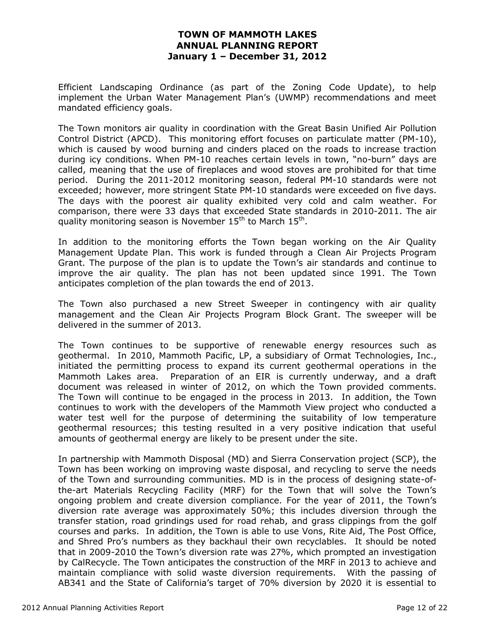Efficient Landscaping Ordinance (as part of the Zoning Code Update), to help implement the Urban Water Management Plan's (UWMP) recommendations and meet mandated efficiency goals.

The Town monitors air quality in coordination with the Great Basin Unified Air Pollution Control District (APCD). This monitoring effort focuses on particulate matter (PM-10), which is caused by wood burning and cinders placed on the roads to increase traction during icy conditions. When PM-10 reaches certain levels in town, "no-burn" days are called, meaning that the use of fireplaces and wood stoves are prohibited for that time period. During the 2011-2012 monitoring season, federal PM-10 standards were not exceeded; however, more stringent State PM-10 standards were exceeded on five days. The days with the poorest air quality exhibited very cold and calm weather. For comparison, there were 33 days that exceeded State standards in 2010-2011. The air quality monitoring season is November  $15^{th}$  to March  $15^{th}$ .

In addition to the monitoring efforts the Town began working on the Air Quality Management Update Plan. This work is funded through a Clean Air Projects Program Grant. The purpose of the plan is to update the Town's air standards and continue to improve the air quality. The plan has not been updated since 1991. The Town anticipates completion of the plan towards the end of 2013.

The Town also purchased a new Street Sweeper in contingency with air quality management and the Clean Air Projects Program Block Grant. The sweeper will be delivered in the summer of 2013.

The Town continues to be supportive of renewable energy resources such as geothermal. In 2010, Mammoth Pacific, LP, a subsidiary of Ormat Technologies, Inc., initiated the permitting process to expand its current geothermal operations in the Mammoth Lakes area. Preparation of an EIR is currently underway, and a draft document was released in winter of 2012, on which the Town provided comments. The Town will continue to be engaged in the process in 2013. In addition, the Town continues to work with the developers of the Mammoth View project who conducted a water test well for the purpose of determining the suitability of low temperature geothermal resources; this testing resulted in a very positive indication that useful amounts of geothermal energy are likely to be present under the site.

In partnership with Mammoth Disposal (MD) and Sierra Conservation project (SCP), the Town has been working on improving waste disposal, and recycling to serve the needs of the Town and surrounding communities. MD is in the process of designing state-ofthe-art Materials Recycling Facility (MRF) for the Town that will solve the Town's ongoing problem and create diversion compliance. For the year of 2011, the Town's diversion rate average was approximately 50%; this includes diversion through the transfer station, road grindings used for road rehab, and grass clippings from the golf courses and parks. In addition, the Town is able to use Vons, Rite Aid, The Post Office, and Shred Pro's numbers as they backhaul their own recyclables. It should be noted that in 2009-2010 the Town's diversion rate was 27%, which prompted an investigation by CalRecycle. The Town anticipates the construction of the MRF in 2013 to achieve and maintain compliance with solid waste diversion requirements. With the passing of AB341 and the State of California's target of 70% diversion by 2020 it is essential to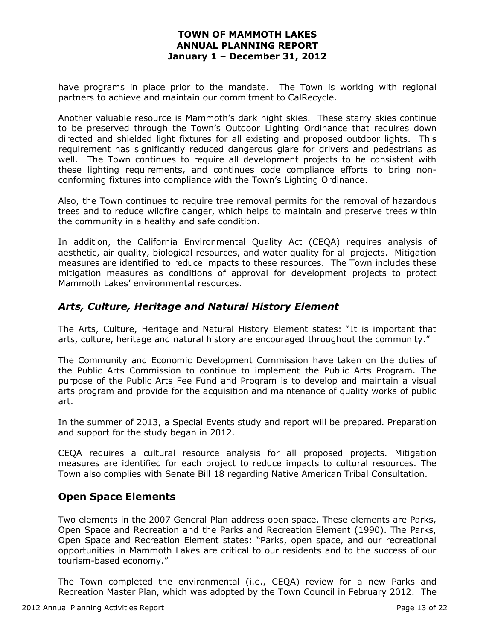have programs in place prior to the mandate. The Town is working with regional partners to achieve and maintain our commitment to CalRecycle.

Another valuable resource is Mammoth's dark night skies. These starry skies continue to be preserved through the Town's Outdoor Lighting Ordinance that requires down directed and shielded light fixtures for all existing and proposed outdoor lights. This requirement has significantly reduced dangerous glare for drivers and pedestrians as well. The Town continues to require all development projects to be consistent with these lighting requirements, and continues code compliance efforts to bring nonconforming fixtures into compliance with the Town's Lighting Ordinance.

Also, the Town continues to require tree removal permits for the removal of hazardous trees and to reduce wildfire danger, which helps to maintain and preserve trees within the community in a healthy and safe condition.

In addition, the California Environmental Quality Act (CEQA) requires analysis of aesthetic, air quality, biological resources, and water quality for all projects. Mitigation measures are identified to reduce impacts to these resources. The Town includes these mitigation measures as conditions of approval for development projects to protect Mammoth Lakes' environmental resources.

## *Arts, Culture, Heritage and Natural History Element*

The Arts, Culture, Heritage and Natural History Element states: "It is important that arts, culture, heritage and natural history are encouraged throughout the community."

The Community and Economic Development Commission have taken on the duties of the Public Arts Commission to continue to implement the Public Arts Program. The purpose of the Public Arts Fee Fund and Program is to develop and maintain a visual arts program and provide for the acquisition and maintenance of quality works of public art.

In the summer of 2013, a Special Events study and report will be prepared. Preparation and support for the study began in 2012.

CEQA requires a cultural resource analysis for all proposed projects. Mitigation measures are identified for each project to reduce impacts to cultural resources. The Town also complies with Senate Bill 18 regarding Native American Tribal Consultation.

## **Open Space Elements**

Two elements in the 2007 General Plan address open space. These elements are Parks, Open Space and Recreation and the Parks and Recreation Element (1990). The Parks, Open Space and Recreation Element states: "Parks, open space, and our recreational opportunities in Mammoth Lakes are critical to our residents and to the success of our tourism-based economy."

The Town completed the environmental (i.e., CEQA) review for a new Parks and Recreation Master Plan, which was adopted by the Town Council in February 2012. The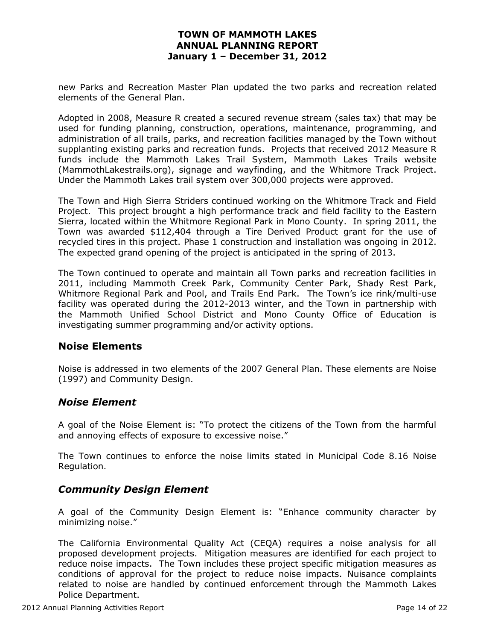new Parks and Recreation Master Plan updated the two parks and recreation related elements of the General Plan.

Adopted in 2008, Measure R created a secured revenue stream (sales tax) that may be used for funding planning, construction, operations, maintenance, programming, and administration of all trails, parks, and recreation facilities managed by the Town without supplanting existing parks and recreation funds. Projects that received 2012 Measure R funds include the Mammoth Lakes Trail System, Mammoth Lakes Trails website (MammothLakestrails.org), signage and wayfinding, and the Whitmore Track Project. Under the Mammoth Lakes trail system over 300,000 projects were approved.

The Town and High Sierra Striders continued working on the Whitmore Track and Field Project. This project brought a high performance track and field facility to the Eastern Sierra, located within the Whitmore Regional Park in Mono County. In spring 2011, the Town was awarded \$112,404 through a Tire Derived Product grant for the use of recycled tires in this project. Phase 1 construction and installation was ongoing in 2012. The expected grand opening of the project is anticipated in the spring of 2013.

The Town continued to operate and maintain all Town parks and recreation facilities in 2011, including Mammoth Creek Park, Community Center Park, Shady Rest Park, Whitmore Regional Park and Pool, and Trails End Park. The Town's ice rink/multi-use facility was operated during the 2012-2013 winter, and the Town in partnership with the Mammoth Unified School District and Mono County Office of Education is investigating summer programming and/or activity options.

## **Noise Elements**

Noise is addressed in two elements of the 2007 General Plan. These elements are Noise (1997) and Community Design.

## *Noise Element*

A goal of the Noise Element is: "To protect the citizens of the Town from the harmful and annoying effects of exposure to excessive noise."

The Town continues to enforce the noise limits stated in Municipal Code 8.16 Noise Regulation.

## *Community Design Element*

A goal of the Community Design Element is: "Enhance community character by minimizing noise."

The California Environmental Quality Act (CEQA) requires a noise analysis for all proposed development projects. Mitigation measures are identified for each project to reduce noise impacts. The Town includes these project specific mitigation measures as conditions of approval for the project to reduce noise impacts. Nuisance complaints related to noise are handled by continued enforcement through the Mammoth Lakes Police Department.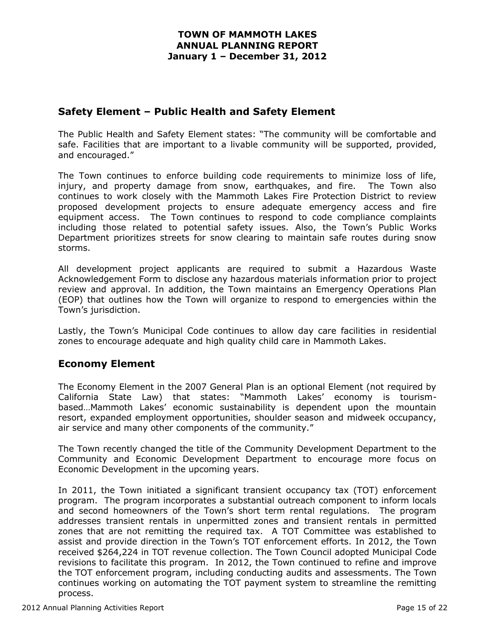## **Safety Element – Public Health and Safety Element**

The Public Health and Safety Element states: "The community will be comfortable and safe. Facilities that are important to a livable community will be supported, provided, and encouraged."

The Town continues to enforce building code requirements to minimize loss of life, injury, and property damage from snow, earthquakes, and fire. The Town also continues to work closely with the Mammoth Lakes Fire Protection District to review proposed development projects to ensure adequate emergency access and fire equipment access. The Town continues to respond to code compliance complaints including those related to potential safety issues. Also, the Town's Public Works Department prioritizes streets for snow clearing to maintain safe routes during snow storms.

All development project applicants are required to submit a Hazardous Waste Acknowledgement Form to disclose any hazardous materials information prior to project review and approval. In addition, the Town maintains an Emergency Operations Plan (EOP) that outlines how the Town will organize to respond to emergencies within the Town's jurisdiction.

Lastly, the Town's Municipal Code continues to allow day care facilities in residential zones to encourage adequate and high quality child care in Mammoth Lakes.

## **Economy Element**

The Economy Element in the 2007 General Plan is an optional Element (not required by California State Law) that states: "Mammoth Lakes' economy is tourismbased…Mammoth Lakes' economic sustainability is dependent upon the mountain resort, expanded employment opportunities, shoulder season and midweek occupancy, air service and many other components of the community."

The Town recently changed the title of the Community Development Department to the Community and Economic Development Department to encourage more focus on Economic Development in the upcoming years.

In 2011, the Town initiated a significant transient occupancy tax (TOT) enforcement program. The program incorporates a substantial outreach component to inform locals and second homeowners of the Town's short term rental regulations. The program addresses transient rentals in unpermitted zones and transient rentals in permitted zones that are not remitting the required tax. A TOT Committee was established to assist and provide direction in the Town's TOT enforcement efforts. In 2012, the Town received \$264,224 in TOT revenue collection. The Town Council adopted Municipal Code revisions to facilitate this program. In 2012, the Town continued to refine and improve the TOT enforcement program, including conducting audits and assessments. The Town continues working on automating the TOT payment system to streamline the remitting process.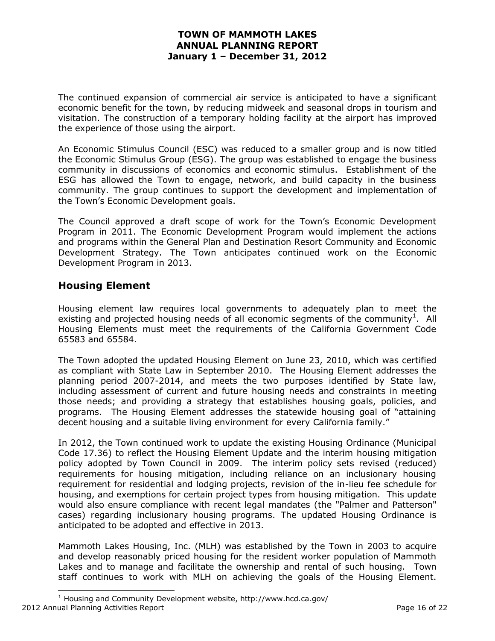The continued expansion of commercial air service is anticipated to have a significant economic benefit for the town, by reducing midweek and seasonal drops in tourism and visitation. The construction of a temporary holding facility at the airport has improved the experience of those using the airport.

An Economic Stimulus Council (ESC) was reduced to a smaller group and is now titled the Economic Stimulus Group (ESG). The group was established to engage the business community in discussions of economics and economic stimulus. Establishment of the ESG has allowed the Town to engage, network, and build capacity in the business community. The group continues to support the development and implementation of the Town's Economic Development goals.

The Council approved a draft scope of work for the Town's Economic Development Program in 2011. The Economic Development Program would implement the actions and programs within the General Plan and Destination Resort Community and Economic Development Strategy. The Town anticipates continued work on the Economic Development Program in 2013.

## **Housing Element**

 $\overline{\phantom{a}}$ 

Housing element law requires local governments to adequately plan to meet the existing and projected housing needs of all economic segments of the community<sup>1</sup>. All Housing Elements must meet the requirements of the California Government Code 65583 and 65584.

The Town adopted the updated Housing Element on June 23, 2010, which was certified as compliant with State Law in September 2010. The Housing Element addresses the planning period 2007-2014, and meets the two purposes identified by State law, including assessment of current and future housing needs and constraints in meeting those needs; and providing a strategy that establishes housing goals, policies, and programs. The Housing Element addresses the statewide housing goal of "attaining decent housing and a suitable living environment for every California family."

In 2012, the Town continued work to update the existing Housing Ordinance (Municipal Code 17.36) to reflect the Housing Element Update and the interim housing mitigation policy adopted by Town Council in 2009. The interim policy sets revised (reduced) requirements for housing mitigation, including reliance on an inclusionary housing requirement for residential and lodging projects, revision of the in-lieu fee schedule for housing, and exemptions for certain project types from housing mitigation. This update would also ensure compliance with recent legal mandates (the "Palmer and Patterson" cases) regarding inclusionary housing programs. The updated Housing Ordinance is anticipated to be adopted and effective in 2013.

Mammoth Lakes Housing, Inc. (MLH) was established by the Town in 2003 to acquire and develop reasonably priced housing for the resident worker population of Mammoth Lakes and to manage and facilitate the ownership and rental of such housing. Town staff continues to work with MLH on achieving the goals of the Housing Element.

<sup>2012</sup> Annual Planning Activities Report Page 16 of 22 <sup>1</sup> Housing and Community Development website, http://www.hcd.ca.gov/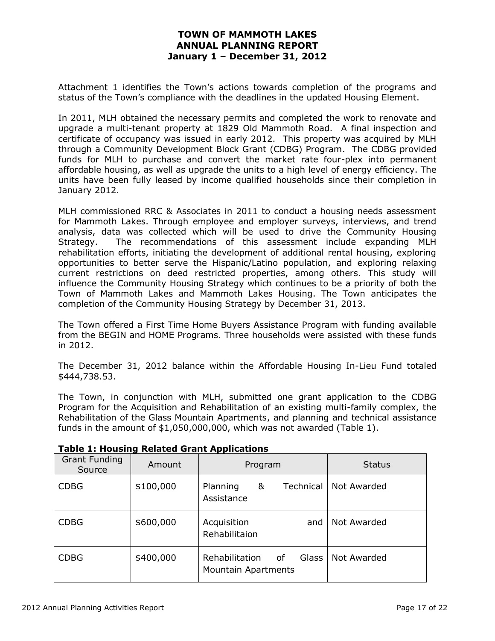Attachment 1 identifies the Town's actions towards completion of the programs and status of the Town's compliance with the deadlines in the updated Housing Element.

In 2011, MLH obtained the necessary permits and completed the work to renovate and upgrade a multi-tenant property at 1829 Old Mammoth Road. A final inspection and certificate of occupancy was issued in early 2012. This property was acquired by MLH through a Community Development Block Grant (CDBG) Program. The CDBG provided funds for MLH to purchase and convert the market rate four-plex into permanent affordable housing, as well as upgrade the units to a high level of energy efficiency. The units have been fully leased by income qualified households since their completion in January 2012.

MLH commissioned RRC & Associates in 2011 to conduct a housing needs assessment for Mammoth Lakes. Through employee and employer surveys, interviews, and trend analysis, data was collected which will be used to drive the Community Housing Strategy. The recommendations of this assessment include expanding MLH rehabilitation efforts, initiating the development of additional rental housing, exploring opportunities to better serve the Hispanic/Latino population, and exploring relaxing current restrictions on deed restricted properties, among others. This study will influence the Community Housing Strategy which continues to be a priority of both the Town of Mammoth Lakes and Mammoth Lakes Housing. The Town anticipates the completion of the Community Housing Strategy by December 31, 2013.

The Town offered a First Time Home Buyers Assistance Program with funding available from the BEGIN and HOME Programs. Three households were assisted with these funds in 2012.

The December 31, 2012 balance within the Affordable Housing In-Lieu Fund totaled \$444,738.53.

The Town, in conjunction with MLH, submitted one grant application to the CDBG Program for the Acquisition and Rehabilitation of an existing multi-family complex, the Rehabilitation of the Glass Mountain Apartments, and planning and technical assistance funds in the amount of \$1,050,000,000, which was not awarded (Table 1).

| <b>Grant Funding</b><br>Source | Amount    | .<br>Program                                                | <b>Status</b> |
|--------------------------------|-----------|-------------------------------------------------------------|---------------|
| <b>CDBG</b>                    | \$100,000 | Planning<br>&<br>Technical<br>Assistance                    | Not Awarded   |
| <b>CDBG</b>                    | \$600,000 | Acquisition<br>and<br>Rehabilitaion                         | Not Awarded   |
| <b>CDBG</b>                    | \$400,000 | Rehabilitation<br>Glass<br>of<br><b>Mountain Apartments</b> | Not Awarded   |

**Table 1: Housing Related Grant Applications**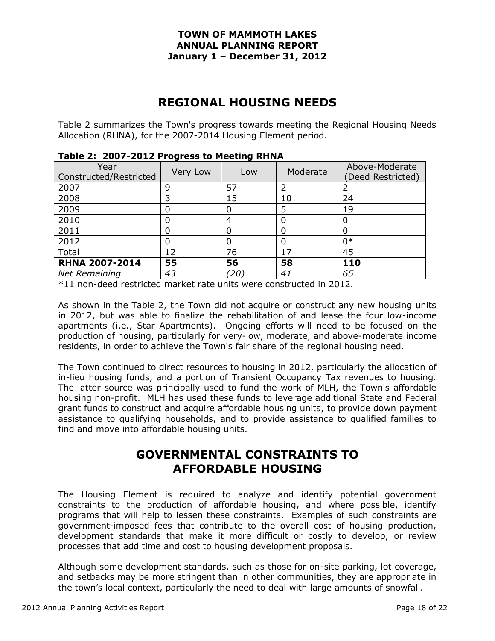## **REGIONAL HOUSING NEEDS**

Table 2 summarizes the Town's progress towards meeting the Regional Housing Needs Allocation (RHNA), for the 2007-2014 Housing Element period.

| Year<br>Constructed/Restricted | - - - -<br>Very Low | Low | Moderate | Above-Moderate<br>Deed Restricted) |
|--------------------------------|---------------------|-----|----------|------------------------------------|
| 2007                           | 9                   | 57  |          |                                    |
| 2008                           | 3                   | 15  | 10       | 24                                 |
| 2009                           |                     |     | 5        | 19                                 |
| 2010                           | 0                   | 4   |          | 0                                  |
| 2011                           | 0                   |     |          | 0                                  |
| 2012                           | 0                   |     |          | 0*                                 |
| Total                          | 12                  | 76  | 17       | 45                                 |
| <b>RHNA 2007-2014</b>          | 55                  | 56  | 58       | 110                                |
| <b>Net Remaining</b>           | 43                  | (20 | 41       | 65                                 |

**Table 2: 2007-2012 Progress to Meeting RHNA**

\*11 non-deed restricted market rate units were constructed in 2012.

As shown in the Table 2, the Town did not acquire or construct any new housing units in 2012, but was able to finalize the rehabilitation of and lease the four low-income apartments (i.e., Star Apartments). Ongoing efforts will need to be focused on the production of housing, particularly for very-low, moderate, and above-moderate income residents, in order to achieve the Town's fair share of the regional housing need.

The Town continued to direct resources to housing in 2012, particularly the allocation of in-lieu housing funds, and a portion of Transient Occupancy Tax revenues to housing. The latter source was principally used to fund the work of MLH, the Town's affordable housing non-profit. MLH has used these funds to leverage additional State and Federal grant funds to construct and acquire affordable housing units, to provide down payment assistance to qualifying households, and to provide assistance to qualified families to find and move into affordable housing units.

## **GOVERNMENTAL CONSTRAINTS TO AFFORDABLE HOUSING**

The Housing Element is required to analyze and identify potential government constraints to the production of affordable housing, and where possible, identify programs that will help to lessen these constraints. Examples of such constraints are government-imposed fees that contribute to the overall cost of housing production, development standards that make it more difficult or costly to develop, or review processes that add time and cost to housing development proposals.

Although some development standards, such as those for on-site parking, lot coverage, and setbacks may be more stringent than in other communities, they are appropriate in the town's local context, particularly the need to deal with large amounts of snowfall.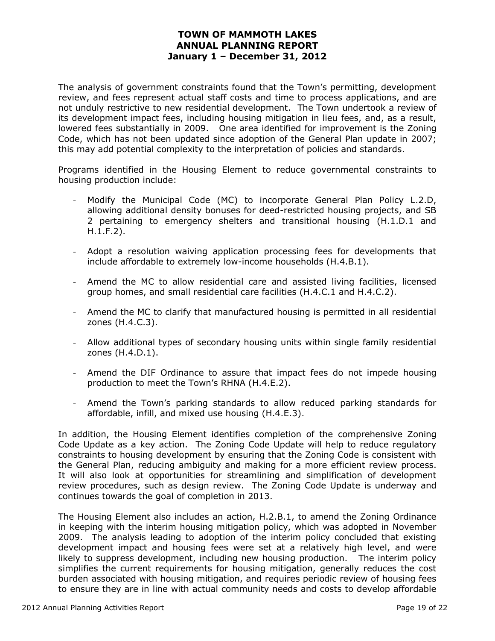The analysis of government constraints found that the Town's permitting, development review, and fees represent actual staff costs and time to process applications, and are not unduly restrictive to new residential development. The Town undertook a review of its development impact fees, including housing mitigation in lieu fees, and, as a result, lowered fees substantially in 2009. One area identified for improvement is the Zoning Code, which has not been updated since adoption of the General Plan update in 2007; this may add potential complexity to the interpretation of policies and standards.

Programs identified in the Housing Element to reduce governmental constraints to housing production include:

- Modify the Municipal Code (MC) to incorporate General Plan Policy L.2.D, allowing additional density bonuses for deed-restricted housing projects, and SB 2 pertaining to emergency shelters and transitional housing (H.1.D.1 and H.1.F.2).
- Adopt a resolution waiving application processing fees for developments that include affordable to extremely low-income households (H.4.B.1).
- Amend the MC to allow residential care and assisted living facilities, licensed group homes, and small residential care facilities (H.4.C.1 and H.4.C.2).
- Amend the MC to clarify that manufactured housing is permitted in all residential zones (H.4.C.3).
- Allow additional types of secondary housing units within single family residential zones (H.4.D.1).
- Amend the DIF Ordinance to assure that impact fees do not impede housing production to meet the Town's RHNA (H.4.E.2).
- Amend the Town's parking standards to allow reduced parking standards for affordable, infill, and mixed use housing (H.4.E.3).

In addition, the Housing Element identifies completion of the comprehensive Zoning Code Update as a key action. The Zoning Code Update will help to reduce regulatory constraints to housing development by ensuring that the Zoning Code is consistent with the General Plan, reducing ambiguity and making for a more efficient review process. It will also look at opportunities for streamlining and simplification of development review procedures, such as design review. The Zoning Code Update is underway and continues towards the goal of completion in 2013.

The Housing Element also includes an action, H.2.B.1, to amend the Zoning Ordinance in keeping with the interim housing mitigation policy, which was adopted in November 2009. The analysis leading to adoption of the interim policy concluded that existing development impact and housing fees were set at a relatively high level, and were likely to suppress development, including new housing production. The interim policy simplifies the current requirements for housing mitigation, generally reduces the cost burden associated with housing mitigation, and requires periodic review of housing fees to ensure they are in line with actual community needs and costs to develop affordable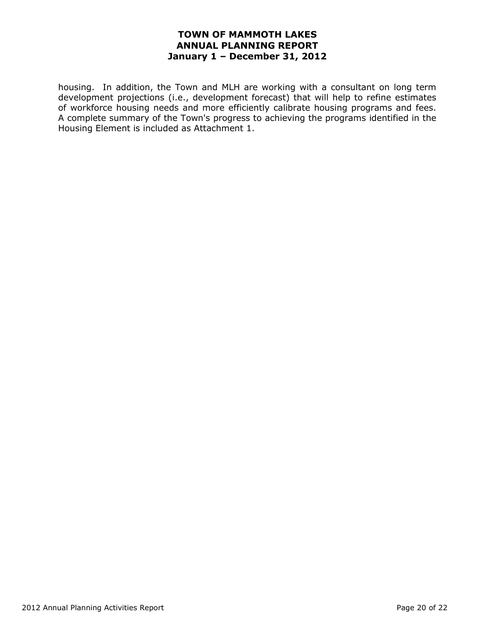housing. In addition, the Town and MLH are working with a consultant on long term development projections (i.e., development forecast) that will help to refine estimates of workforce housing needs and more efficiently calibrate housing programs and fees. A complete summary of the Town's progress to achieving the programs identified in the Housing Element is included as Attachment 1.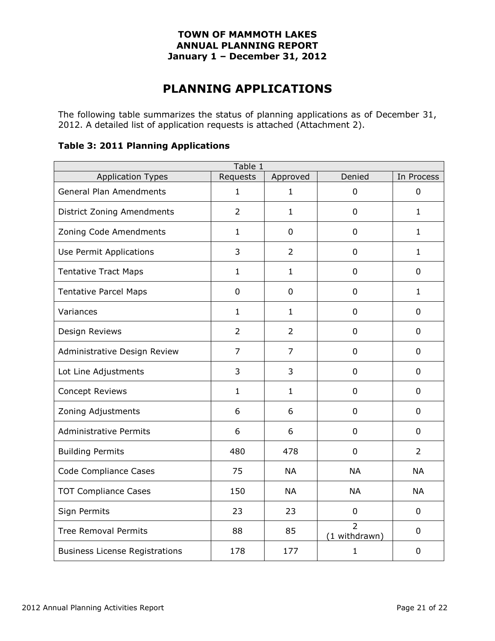## **PLANNING APPLICATIONS**

The following table summarizes the status of planning applications as of December 31, 2012. A detailed list of application requests is attached (Attachment 2).

### **Table 3: 2011 Planning Applications**

| Table 1                               |                |                |                                 |                |  |  |  |  |  |
|---------------------------------------|----------------|----------------|---------------------------------|----------------|--|--|--|--|--|
| <b>Application Types</b>              | Requests       | Approved       | Denied                          | In Process     |  |  |  |  |  |
| <b>General Plan Amendments</b>        | $\mathbf{1}$   | $\mathbf{1}$   | $\mathbf 0$                     | $\overline{0}$ |  |  |  |  |  |
| District Zoning Amendments            | $\overline{2}$ | $\mathbf{1}$   | $\mathbf 0$                     | $\mathbf{1}$   |  |  |  |  |  |
| Zoning Code Amendments                | $\mathbf{1}$   | $\overline{0}$ | $\mathbf 0$                     | $\mathbf{1}$   |  |  |  |  |  |
| Use Permit Applications               | 3              | $\overline{2}$ | 0                               | $\mathbf{1}$   |  |  |  |  |  |
| <b>Tentative Tract Maps</b>           | $\mathbf{1}$   | $\mathbf{1}$   | 0                               | $\mathbf 0$    |  |  |  |  |  |
| <b>Tentative Parcel Maps</b>          | 0              | $\overline{0}$ | $\mathbf 0$                     | $\mathbf{1}$   |  |  |  |  |  |
| Variances                             | $\mathbf{1}$   | $\mathbf{1}$   | $\mathbf 0$                     | $\overline{0}$ |  |  |  |  |  |
| Design Reviews                        | $\overline{2}$ | $\overline{2}$ | $\mathbf 0$                     | $\mathbf 0$    |  |  |  |  |  |
| Administrative Design Review          | $\overline{7}$ | $\overline{7}$ | $\mathbf 0$                     | $\overline{0}$ |  |  |  |  |  |
| Lot Line Adjustments                  | 3              | 3              | $\mathbf 0$                     | $\overline{0}$ |  |  |  |  |  |
| <b>Concept Reviews</b>                | 1              | $\mathbf{1}$   | $\mathbf 0$                     | 0              |  |  |  |  |  |
| Zoning Adjustments                    | 6              | 6              | $\mathbf 0$                     | $\mathbf 0$    |  |  |  |  |  |
| <b>Administrative Permits</b>         | 6              | 6              | $\mathbf 0$                     | 0              |  |  |  |  |  |
| <b>Building Permits</b>               | 480            | 478            | $\mathbf 0$                     | $\overline{2}$ |  |  |  |  |  |
| <b>Code Compliance Cases</b>          | 75             | <b>NA</b>      | <b>NA</b>                       | <b>NA</b>      |  |  |  |  |  |
| <b>TOT Compliance Cases</b>           | 150            | <b>NA</b>      | <b>NA</b>                       | <b>NA</b>      |  |  |  |  |  |
| Sign Permits                          | 23             | 23             | $\mathbf 0$                     | $\mathbf 0$    |  |  |  |  |  |
| <b>Tree Removal Permits</b>           | 88             | 85             | $\overline{2}$<br>(1 withdrawn) | $\Omega$       |  |  |  |  |  |
| <b>Business License Registrations</b> | 178            | 177            | 1                               | 0              |  |  |  |  |  |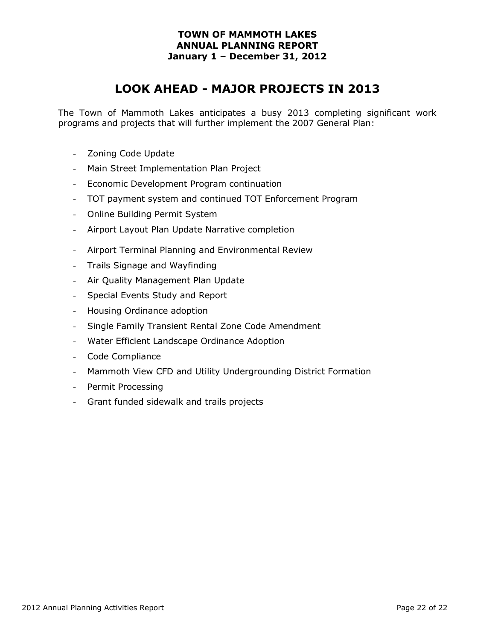## **LOOK AHEAD - MAJOR PROJECTS IN 2013**

The Town of Mammoth Lakes anticipates a busy 2013 completing significant work programs and projects that will further implement the 2007 General Plan:

- Zoning Code Update
- Main Street Implementation Plan Project
- Economic Development Program continuation
- TOT payment system and continued TOT Enforcement Program
- Online Building Permit System
- Airport Layout Plan Update Narrative completion
- Airport Terminal Planning and Environmental Review
- Trails Signage and Wayfinding
- Air Quality Management Plan Update
- Special Events Study and Report
- Housing Ordinance adoption
- Single Family Transient Rental Zone Code Amendment
- Water Efficient Landscape Ordinance Adoption
- Code Compliance
- Mammoth View CFD and Utility Undergrounding District Formation
- Permit Processing
- Grant funded sidewalk and trails projects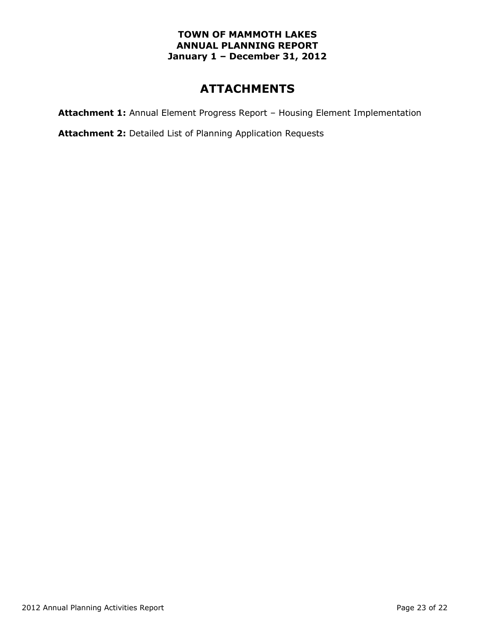## **ATTACHMENTS**

**Attachment 1:** Annual Element Progress Report – Housing Element Implementation

**Attachment 2:** Detailed List of Planning Application Requests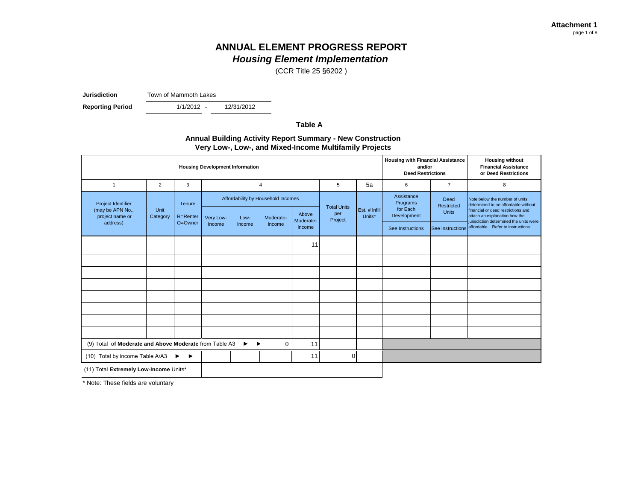(CCR Title 25 §6202 )

**Jurisdiction** Town of Mammoth Lakes

**Reporting Period** 

1/1/2012 -12/31/2012

**Table A**

## **Annual Building Activity Report Summary - New Construction Very Low-, Low-, and Mixed-Income Multifamily Projects**

|                                                        |                  | <b>Housing Development Information</b> | <b>Housing with Financial Assistance</b><br>and/or<br><b>Deed Restrictions</b> |        | <b>Housing without</b><br><b>Financial Assistance</b><br>or Deed Restrictions |                    |                    |                  |                                    |                                                     |                                                                       |             |              |                                                                                                               |
|--------------------------------------------------------|------------------|----------------------------------------|--------------------------------------------------------------------------------|--------|-------------------------------------------------------------------------------|--------------------|--------------------|------------------|------------------------------------|-----------------------------------------------------|-----------------------------------------------------------------------|-------------|--------------|---------------------------------------------------------------------------------------------------------------|
| $\mathbf{1}$                                           | $\overline{2}$   | 3                                      |                                                                                |        | $\overline{4}$                                                                |                    | 5                  | 5a               | 6                                  | $\overline{7}$                                      | 8                                                                     |             |              |                                                                                                               |
| Project Identifier                                     |                  | Tenure                                 |                                                                                |        | Affordability by Household Incomes                                            |                    | <b>Total Units</b> |                  | Assistance<br>Programs<br>for Each | <b>Deed</b><br>Restricted                           | Note below the number of units<br>determined to be affordable without |             |              |                                                                                                               |
| (may be APN No.,<br>project name or                    | Unit<br>Category | R=Renter                               | Very Low-                                                                      | Low-   | Moderate-                                                                     | Above<br>Moderate- | per<br>Project     | Units*           | Est. # Infill                      |                                                     |                                                                       | Development | <b>Units</b> | financial or deed restrictions and<br>attach an explanation how the<br>jurisdiction determined the units were |
| address)                                               |                  | O=Owner                                | Income                                                                         | Income | Income                                                                        | Income             |                    | See Instructions |                                    | See Instructions affordable. Refer to instructions. |                                                                       |             |              |                                                                                                               |
|                                                        |                  |                                        |                                                                                |        |                                                                               | 11                 |                    |                  |                                    |                                                     |                                                                       |             |              |                                                                                                               |
|                                                        |                  |                                        |                                                                                |        |                                                                               |                    |                    |                  |                                    |                                                     |                                                                       |             |              |                                                                                                               |
|                                                        |                  |                                        |                                                                                |        |                                                                               |                    |                    |                  |                                    |                                                     |                                                                       |             |              |                                                                                                               |
|                                                        |                  |                                        |                                                                                |        |                                                                               |                    |                    |                  |                                    |                                                     |                                                                       |             |              |                                                                                                               |
|                                                        |                  |                                        |                                                                                |        |                                                                               |                    |                    |                  |                                    |                                                     |                                                                       |             |              |                                                                                                               |
|                                                        |                  |                                        |                                                                                |        |                                                                               |                    |                    |                  |                                    |                                                     |                                                                       |             |              |                                                                                                               |
|                                                        |                  |                                        |                                                                                |        |                                                                               |                    |                    |                  |                                    |                                                     |                                                                       |             |              |                                                                                                               |
|                                                        |                  |                                        |                                                                                |        |                                                                               |                    |                    |                  |                                    |                                                     |                                                                       |             |              |                                                                                                               |
| (9) Total of Moderate and Above Moderate from Table A3 |                  | $\blacktriangleright$                  | $\mathbf 0$                                                                    | 11     |                                                                               |                    |                    |                  |                                    |                                                     |                                                                       |             |              |                                                                                                               |
| (10) Total by income Table A/A3                        |                  | ▶<br>$\blacktriangleright$             |                                                                                |        |                                                                               | 11                 | 0l                 |                  |                                    |                                                     |                                                                       |             |              |                                                                                                               |
| (11) Total Extremely Low-Income Units*                 |                  |                                        |                                                                                |        |                                                                               |                    |                    |                  |                                    |                                                     |                                                                       |             |              |                                                                                                               |

\* Note: These fields are voluntary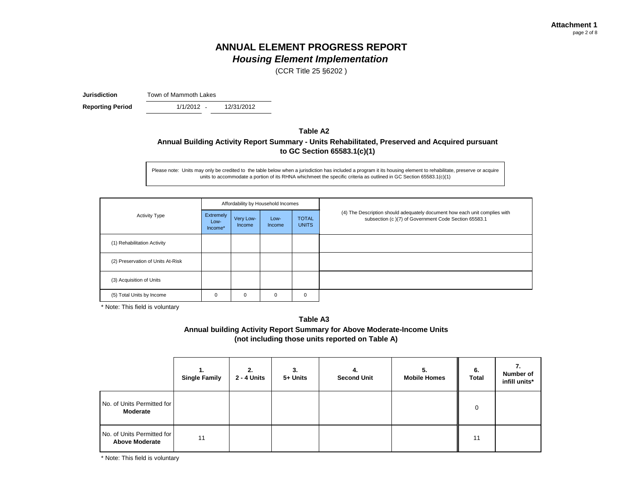(CCR Title 25 §6202 )

**Jurisdiction** Town of Mammoth Lakes

 $1/1/2012 -$ **Reporting Period** 1/1/2012 - 12/31/2012

**Table A2**

## **Annual Building Activity Report Summary - Units Rehabilitated, Preserved and Acquired pursuant to GC Section 65583.1(c)(1)**

Please note: Units may only be credited to the table below when a jurisdiction has included a program it its housing element to rehabilitate, preserve or acquire units to accommodate a portion of its RHNA whichmeet the specific criteria as outlined in GC Section 65583.1(c)(1)

|                                   |                              |                     | Affordability by Household Incomes |                              |                                                                                                                                    |  |
|-----------------------------------|------------------------------|---------------------|------------------------------------|------------------------------|------------------------------------------------------------------------------------------------------------------------------------|--|
| <b>Activity Type</b>              | Extremely<br>Low-<br>Income* | Very Low-<br>Income | Low-<br>Income                     | <b>TOTAL</b><br><b>UNITS</b> | (4) The Description should adequately document how each unit complies with<br>subsection (c)(7) of Government Code Section 65583.1 |  |
| (1) Rehabilitation Activity       |                              |                     |                                    |                              |                                                                                                                                    |  |
| (2) Preservation of Units At-Risk |                              |                     |                                    |                              |                                                                                                                                    |  |
| (3) Acquisition of Units          |                              |                     |                                    |                              |                                                                                                                                    |  |
| (5) Total Units by Income         | 0                            | 0                   | 0                                  | 0                            |                                                                                                                                    |  |

\* Note: This field is voluntary

**Annual building Activity Report Summary for Above Moderate-Income Units (not including those units reported on Table A) Table A3**

|                                                     | 1.<br><b>Single Family</b> | 2.<br><b>2 - 4 Units</b> | 3.<br>5+ Units | 4.<br><b>Second Unit</b> | 5.<br><b>Mobile Homes</b> | 6.<br><b>Total</b> | 7.<br>Number of<br>infill units* |
|-----------------------------------------------------|----------------------------|--------------------------|----------------|--------------------------|---------------------------|--------------------|----------------------------------|
| No. of Units Permitted for<br><b>Moderate</b>       |                            |                          |                |                          |                           | 0                  |                                  |
| No. of Units Permitted for<br><b>Above Moderate</b> | 11                         |                          |                |                          |                           | 11                 |                                  |

\* Note: This field is voluntary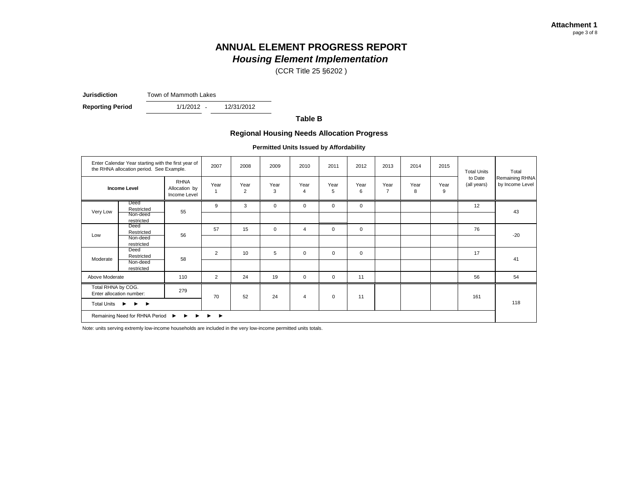(CCR Title 25 §6202 )

**Jurisdiction** Town of Mammoth Lakes

**Reporting Period** 1/1/2012 - 12/31/2012

 $1/1/2012 -$ 

**Table B**

## **Regional Housing Needs Allocation Progress**

**Permitted Units Issued by Affordability**

|                    | Enter Calendar Year starting with the first year of<br>the RHNA allocation period. See Example. |                                              | 2007 | 2008      | 2009        | 2010        | 2011        | 2012        | 2013                   | 2014      | 2015      | <b>Total Units</b>     | Total                             |
|--------------------|-------------------------------------------------------------------------------------------------|----------------------------------------------|------|-----------|-------------|-------------|-------------|-------------|------------------------|-----------|-----------|------------------------|-----------------------------------|
|                    | <b>Income Level</b>                                                                             | <b>RHNA</b><br>Allocation by<br>Income Level | Year | Year<br>2 | Year<br>3   | Year<br>4   | Year<br>5   | Year<br>6   | Year<br>$\overline{7}$ | Year<br>8 | Year<br>9 | to Date<br>(all years) | Remaining RHNA<br>by Income Level |
| Very Low           | Deed<br>Restricted<br>Non-deed<br>restricted                                                    | 55                                           | 9    | 3         | $\mathbf 0$ | $\mathbf 0$ | $\mathbf 0$ | $\mathbf 0$ |                        |           |           | 12                     | 43                                |
| Low                | Deed<br>Restricted<br>Non-deed<br>restricted                                                    | 56                                           | 57   | 15        | $\mathbf 0$ | 4           | $\mathbf 0$ | 0           |                        |           |           | 76                     | $-20$                             |
| Moderate           | Deed<br>Restricted<br>Non-deed<br>restricted                                                    | 58                                           | 2    | 10        | 5           | $\mathbf 0$ | $\mathbf 0$ | $\mathbf 0$ |                        |           |           | 17                     | 41                                |
| Above Moderate     |                                                                                                 | 110                                          | 2    | 24        | 19          | $\mathbf 0$ | $\mathbf 0$ | 11          |                        |           |           | 56                     | 54                                |
| Total RHNA by COG. | Enter allocation number:                                                                        | 279                                          | 70   | 52        | 24          | 4           | $\mathbf 0$ | 11          |                        |           |           | 161                    |                                   |
| Total Units ▶      | $\blacktriangleright$ $\blacktriangleright$                                                     |                                              |      |           |             |             |             |             |                        |           |           |                        | 118                               |
|                    | Remaining Need for RHNA Period ▶ ▶ ▶ ▶ ▶                                                        |                                              |      |           |             |             |             |             |                        |           |           |                        |                                   |

Note: units serving extremly low-income households are included in the very low-income permitted units totals.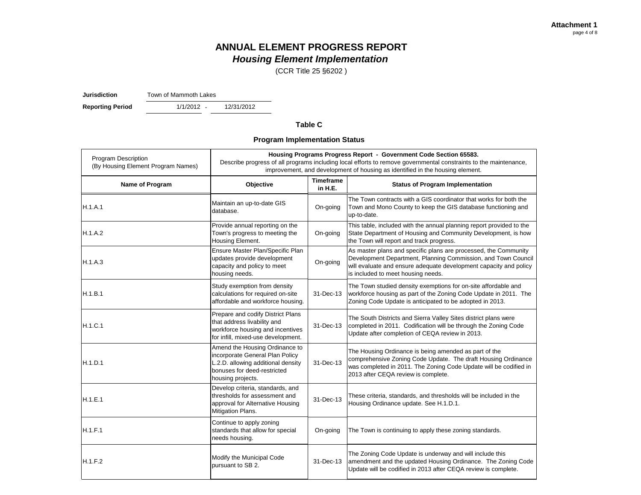(CCR Title 25 §6202 )

**Jurisdiction** Town of Mammoth Lakes

1/1/2012 -**Reporting Period** 1/1/2012 - 12/31/2012

## **Table C**

**Program Implementation Status**

| <b>Program Description</b><br>(By Housing Element Program Names) |                                                                                                                                                             | Housing Programs Progress Report - Government Code Section 65583.<br>Describe progress of all programs including local efforts to remove governmental constraints to the maintenance,<br>improvement, and development of housing as identified in the housing element. |                                                                                                                                                                                                                                             |
|------------------------------------------------------------------|-------------------------------------------------------------------------------------------------------------------------------------------------------------|------------------------------------------------------------------------------------------------------------------------------------------------------------------------------------------------------------------------------------------------------------------------|---------------------------------------------------------------------------------------------------------------------------------------------------------------------------------------------------------------------------------------------|
| Name of Program                                                  | Objective                                                                                                                                                   | <b>Timeframe</b><br>in H.E.                                                                                                                                                                                                                                            | <b>Status of Program Implementation</b>                                                                                                                                                                                                     |
| H.1.A.1                                                          | Maintain an up-to-date GIS<br>database.                                                                                                                     | On-going                                                                                                                                                                                                                                                               | The Town contracts with a GIS coordinator that works for both the<br>Town and Mono County to keep the GIS database functioning and<br>up-to-date.                                                                                           |
| H.1.A.2                                                          | Provide annual reporting on the<br>Town's progress to meeting the<br>Housing Element.                                                                       | On-going                                                                                                                                                                                                                                                               | This table, included with the annual planning report provided to the<br>State Department of Housing and Community Development, is how<br>the Town will report and track progress.                                                           |
| H.1.A.3                                                          | Ensure Master Plan/Specific Plan<br>updates provide development<br>capacity and policy to meet<br>housing needs.                                            | On-going                                                                                                                                                                                                                                                               | As master plans and specific plans are processed, the Community<br>Development Department, Planning Commission, and Town Council<br>will evaluate and ensure adequate development capacity and policy<br>is included to meet housing needs. |
| H.1.B.1                                                          | Study exemption from density<br>calculations for required on-site<br>affordable and workforce housing.                                                      | 31-Dec-13                                                                                                                                                                                                                                                              | The Town studied density exemptions for on-site affordable and<br>workforce housing as part of the Zoning Code Update in 2011. The<br>Zoning Code Update is anticipated to be adopted in 2013.                                              |
| H.1.C.1                                                          | Prepare and codify District Plans<br>that address livability and<br>workforce housing and incentives<br>for infill, mixed-use development.                  | 31-Dec-13                                                                                                                                                                                                                                                              | The South Districts and Sierra Valley Sites district plans were<br>completed in 2011. Codification will be through the Zoning Code<br>Update after completion of CEQA review in 2013.                                                       |
| H.1.D.1                                                          | Amend the Housing Ordinance to<br>incorporate General Plan Policy<br>L.2.D. allowing additional density<br>bonuses for deed-restricted<br>housing projects. | 31-Dec-13                                                                                                                                                                                                                                                              | The Housing Ordinance is being amended as part of the<br>comprehensive Zoning Code Update. The draft Housing Ordinance<br>was completed in 2011. The Zoning Code Update will be codified in<br>2013 after CEQA review is complete.          |
| H.1.E.1                                                          | Develop criteria, standards, and<br>thresholds for assessment and<br>approval for Alternative Housing<br>Mitigation Plans.                                  | 31-Dec-13                                                                                                                                                                                                                                                              | These criteria, standards, and thresholds will be included in the<br>Housing Ordinance update. See H.1.D.1.                                                                                                                                 |
| H.1.F.1                                                          | Continue to apply zoning<br>standards that allow for special<br>needs housing.                                                                              | On-going                                                                                                                                                                                                                                                               | The Town is continuing to apply these zoning standards.                                                                                                                                                                                     |
| H.1.F.2                                                          | Modify the Municipal Code<br>pursuant to SB 2.                                                                                                              | 31-Dec-13                                                                                                                                                                                                                                                              | The Zoning Code Update is underway and will include this<br>amendment and the updated Housing Ordinance. The Zoning Code<br>Update will be codified in 2013 after CEQA review is complete.                                                  |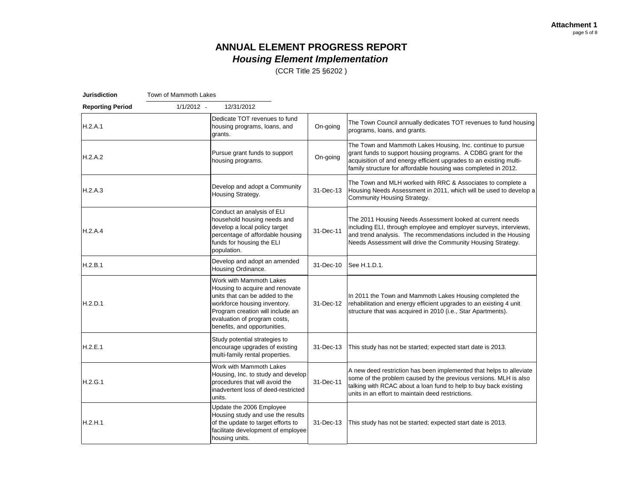(CCR Title 25 §6202 )

| <b>Jurisdiction</b>     | Town of Mammoth Lakes |                                                                                                                                                                                                                                  |           |                                                                                                                                                                                                                                                                      |
|-------------------------|-----------------------|----------------------------------------------------------------------------------------------------------------------------------------------------------------------------------------------------------------------------------|-----------|----------------------------------------------------------------------------------------------------------------------------------------------------------------------------------------------------------------------------------------------------------------------|
| <b>Reporting Period</b> | $1/1/2012 -$          | 12/31/2012                                                                                                                                                                                                                       |           |                                                                                                                                                                                                                                                                      |
| H.2.A.1                 |                       | Dedicate TOT revenues to fund<br>housing programs, loans, and<br>grants.                                                                                                                                                         | On-going  | The Town Council annually dedicates TOT revenues to fund housing<br>programs, loans, and grants.                                                                                                                                                                     |
| H.2.A.2                 |                       | Pursue grant funds to support<br>housing programs.                                                                                                                                                                               | On-going  | The Town and Mammoth Lakes Housing, Inc. continue to pursue<br>grant funds to support housing programs. A CDBG grant for the<br>acquisition of and energy efficient upgrades to an existing multi-<br>family structure for affordable housing was completed in 2012. |
| H.2.A.3                 |                       | Develop and adopt a Community<br>Housing Strategy.                                                                                                                                                                               | 31-Dec-13 | The Town and MLH worked with RRC & Associates to complete a<br>Housing Needs Assessment in 2011, which will be used to develop a<br>Community Housing Strategy.                                                                                                      |
| H.2.A.4                 |                       | Conduct an analysis of ELI<br>household housing needs and<br>develop a local policy target<br>percentage of affordable housing<br>funds for housing the ELI<br>population.                                                       | 31-Dec-11 | The 2011 Housing Needs Assessment looked at current needs<br>including ELI, through employee and employer surveys, interviews,<br>and trend analysis. The recommendations included in the Housing<br>Needs Assessment will drive the Community Housing Strategy.     |
| H.2.B.1                 |                       | Develop and adopt an amended<br>Housing Ordinance.                                                                                                                                                                               | 31-Dec-10 | See H.1.D.1.                                                                                                                                                                                                                                                         |
| H.2.D.1                 |                       | Work with Mammoth Lakes<br>Housing to acquire and renovate<br>units that can be added to the<br>workforce housing inventory.<br>Program creation will include an<br>evaluation of program costs,<br>benefits, and opportunities. | 31-Dec-12 | In 2011 the Town and Mammoth Lakes Housing completed the<br>rehabilitation and energy efficient upgrades to an existing 4 unit<br>structure that was acquired in 2010 (i.e., Star Apartments).                                                                       |
| H.2.E.1                 |                       | Study potential strategies to<br>encourage upgrades of existing<br>multi-family rental properties.                                                                                                                               | 31-Dec-13 | This study has not be started; expected start date is 2013.                                                                                                                                                                                                          |
| H.2.G.1                 |                       | Work with Mammoth Lakes<br>Housing, Inc. to study and develop<br>procedures that will avoid the<br>inadvertent loss of deed-restricted<br>units.                                                                                 | 31-Dec-11 | A new deed restriction has been implemented that helps to alleviate<br>some of the problem caused by the previous versions. MLH is also<br>talking with RCAC about a loan fund to help to buy back existing<br>units in an effort to maintain deed restrictions.     |
| H.2.H.1                 |                       | Update the 2006 Employee<br>Housing study and use the results<br>of the update to target efforts to<br>facilitate development of employee<br>housing units.                                                                      | 31-Dec-13 | This study has not be started; expected start date is 2013.                                                                                                                                                                                                          |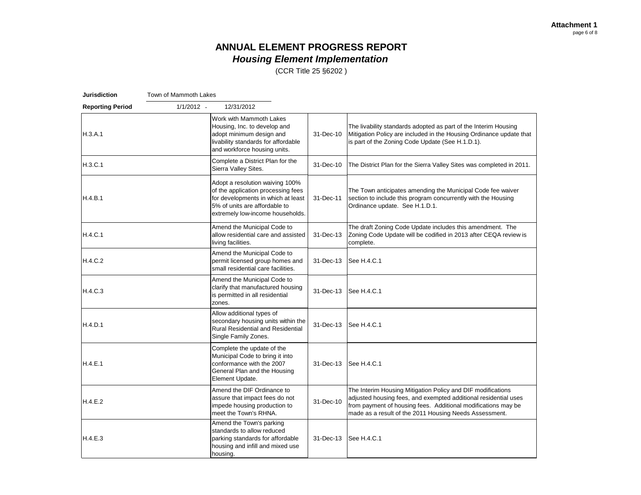(CCR Title 25 §6202 )

| <b>Jurisdiction</b>     | Town of Mammoth Lakes |                                                                                                                                                                                  |           |                                                                                                                                                                                                                                                           |
|-------------------------|-----------------------|----------------------------------------------------------------------------------------------------------------------------------------------------------------------------------|-----------|-----------------------------------------------------------------------------------------------------------------------------------------------------------------------------------------------------------------------------------------------------------|
| <b>Reporting Period</b> | $1/1/2012 -$          | 12/31/2012                                                                                                                                                                       |           |                                                                                                                                                                                                                                                           |
| H.3.A.1                 |                       | Work with Mammoth Lakes<br>Housing, Inc. to develop and<br>adopt minimum design and<br>livability standards for affordable<br>and workforce housing units.                       | 31-Dec-10 | The livability standards adopted as part of the Interim Housing<br>Mitigation Policy are included in the Housing Ordinance update that<br>is part of the Zoning Code Update (See H.1.D.1).                                                                |
| H.3.C.1                 |                       | Complete a District Plan for the<br>Sierra Valley Sites.                                                                                                                         | 31-Dec-10 | The District Plan for the Sierra Valley Sites was completed in 2011.                                                                                                                                                                                      |
| H.4.B.1                 |                       | Adopt a resolution waiving 100%<br>of the application processing fees<br>for developments in which at least<br>5% of units are affordable to<br>extremely low-income households. | 31-Dec-11 | The Town anticipates amending the Municipal Code fee waiver<br>section to include this program concurrently with the Housing<br>Ordinance update. See H.1.D.1.                                                                                            |
| H.4.C.1                 |                       | Amend the Municipal Code to<br>allow residential care and assisted<br>living facilities.                                                                                         | 31-Dec-13 | The draft Zoning Code Update includes this amendment. The<br>Zoning Code Update will be codified in 2013 after CEQA review is<br>complete.                                                                                                                |
| H.4.C.2                 |                       | Amend the Municipal Code to<br>permit licensed group homes and<br>small residential care facilities.                                                                             | 31-Dec-13 | See H.4.C.1                                                                                                                                                                                                                                               |
| H.4.C.3                 |                       | Amend the Municipal Code to<br>clarify that manufactured housing<br>is permitted in all residential<br>zones.                                                                    | 31-Dec-13 | See H.4.C.1                                                                                                                                                                                                                                               |
| H.4.D.1                 |                       | Allow additional types of<br>secondary housing units within the<br><b>Rural Residential and Residential</b><br>Single Family Zones.                                              | 31-Dec-13 | See H.4.C.1                                                                                                                                                                                                                                               |
| H.4.E.1                 |                       | Complete the update of the<br>Municipal Code to bring it into<br>conformance with the 2007<br>General Plan and the Housing<br>Element Update.                                    |           | 31-Dec-13 See H.4.C.1                                                                                                                                                                                                                                     |
| H.4.E.2                 |                       | Amend the DIF Ordinance to<br>assure that impact fees do not<br>impede housing production to<br>meet the Town's RHNA.                                                            | 31-Dec-10 | The Interim Housing Mitigation Policy and DIF modifications<br>adjusted housing fees, and exempted additional residential uses<br>from payment of housing fees. Additional modifications may be<br>made as a result of the 2011 Housing Needs Assessment. |
| H.4.E.3                 |                       | Amend the Town's parking<br>standards to allow reduced<br>parking standards for affordable<br>housing and infill and mixed use<br>housing.                                       | 31-Dec-13 | See H.4.C.1                                                                                                                                                                                                                                               |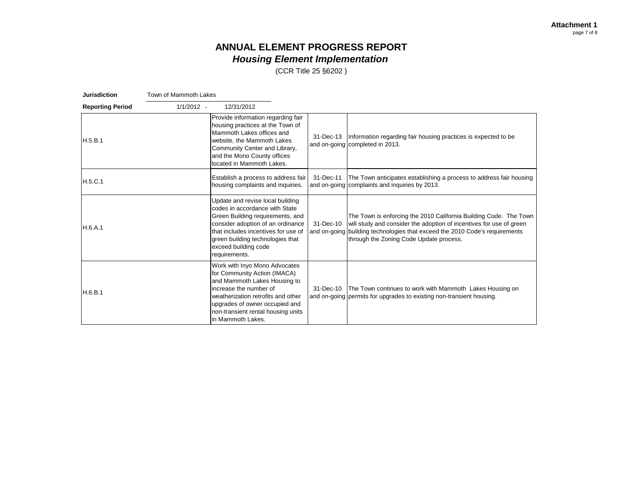(CCR Title 25 §6202 )

| Jurisdiction            | Town of Mammoth Lakes |                                                                                                                                                                                                                                                                 |           |                                                                                                                                                                                                                                                                    |
|-------------------------|-----------------------|-----------------------------------------------------------------------------------------------------------------------------------------------------------------------------------------------------------------------------------------------------------------|-----------|--------------------------------------------------------------------------------------------------------------------------------------------------------------------------------------------------------------------------------------------------------------------|
| <b>Reporting Period</b> | $1/1/2012 -$          | 12/31/2012                                                                                                                                                                                                                                                      |           |                                                                                                                                                                                                                                                                    |
| H.5.B.1                 |                       | Provide information regarding fair<br>housing practices at the Town of<br>Mammoth Lakes offices and<br>website, the Mammoth Lakes<br>Community Center and Library,<br>and the Mono County offices<br>located in Mammoth Lakes.                                  | 31-Dec-13 | Information regarding fair housing practices is expected to be<br>and on-going completed in 2013.                                                                                                                                                                  |
| H.5.C.1                 |                       | Establish a process to address fair<br>housing complaints and inquiries.                                                                                                                                                                                        | 31-Dec-11 | The Town anticipates establishing a process to address fair housing<br>and on-going complaints and inquiries by 2013.                                                                                                                                              |
| H.6.A.1                 |                       | Update and revise local building<br>codes in accordance with State<br>Green Building requirements, and<br>consider adoption of an ordinance<br>that includes incentives for use of<br>green building technologies that<br>exceed building code<br>requirements. | 31-Dec-10 | The Town is enforcing the 2010 California Building Code. The Town<br>will study and consider the adoption of incentives for use of green<br>and on-going building technologies that exceed the 2010 Code's requirements<br>through the Zoning Code Update process. |
| H.6.B.1                 |                       | Work with Inyo Mono Advocates<br>for Community Action (IMACA)<br>and Mammoth Lakes Housing to<br>increase the number of<br>weatherization retrofits and other<br>upgrades of owner occupied and<br>non-transient rental housing units<br>in Mammoth Lakes.      | 31-Dec-10 | The Town continues to work with Mammoth Lakes Housing on<br>and on-going permits for upgrades to existing non-transient housing.                                                                                                                                   |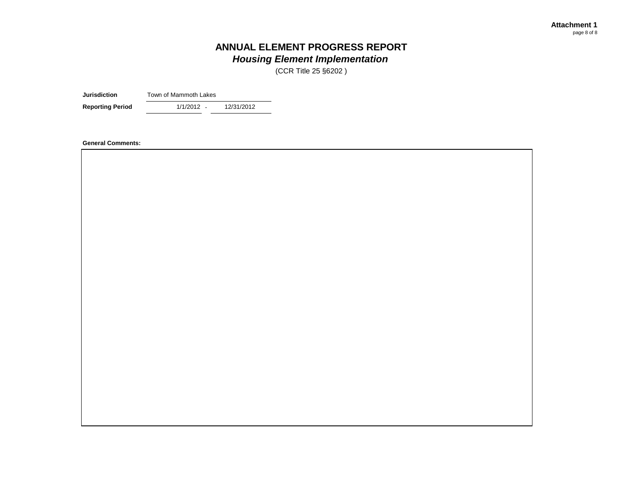(CCR Title 25 §6202 )

**Jurisdiction** Town of Mammoth Lakes

**Reporting Period** 1/1/2012 - 12/31/2012

1/1/2012 -

**General Comments:**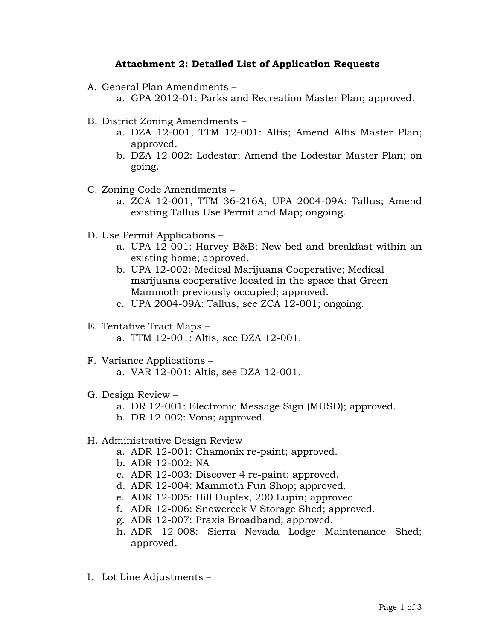## **Attachment 2: Detailed List of Application Requests**

- A. General Plan Amendments
	- a. GPA 2012-01: Parks and Recreation Master Plan; approved.
- B. District Zoning Amendments
	- a. DZA 12-001, TTM 12-001: Altis; Amend Altis Master Plan; approved.
	- b. DZA 12-002: Lodestar; Amend the Lodestar Master Plan; on going.
- C. Zoning Code Amendments
	- a. ZCA 12-001, TTM 36-216A, UPA 2004-09A: Tallus; Amend existing Tallus Use Permit and Map; ongoing.
- D. Use Permit Applications
	- a. UPA 12-001: Harvey B&B; New bed and breakfast within an existing home; approved.
	- b. UPA 12-002: Medical Marijuana Cooperative; Medical marijuana cooperative located in the space that Green Mammoth previously occupied; approved.
	- c. UPA 2004-09A: Tallus, see ZCA 12-001; ongoing.
- E. Tentative Tract Maps
	- a. TTM 12-001: Altis, see DZA 12-001.
- F. Variance Applications
	- a. VAR 12-001: Altis, see DZA 12-001.
- G. Design Review
	- a. DR 12-001: Electronic Message Sign (MUSD); approved.
	- b. DR 12-002: Vons; approved.
- H. Administrative Design Review
	- a. ADR 12-001: Chamonix re-paint; approved.
	- b. ADR 12-002: NA
	- c. ADR 12-003: Discover 4 re-paint; approved.
	- d. ADR 12-004: Mammoth Fun Shop; approved.
	- e. ADR 12-005: Hill Duplex, 200 Lupin; approved.
	- f. ADR 12-006: Snowcreek V Storage Shed; approved.
	- g. ADR 12-007: Praxis Broadband; approved.
	- h. ADR 12-008: Sierra Nevada Lodge Maintenance Shed; approved.
- I. Lot Line Adjustments –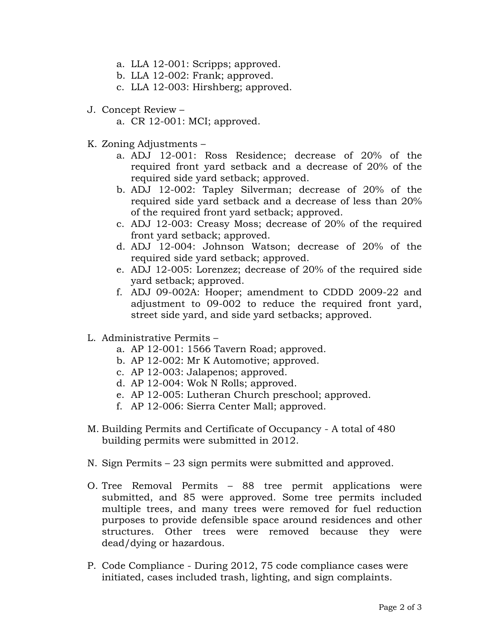- a. LLA 12-001: Scripps; approved.
- b. LLA 12-002: Frank; approved.
- c. LLA 12-003: Hirshberg; approved.
- J. Concept Review
	- a. CR 12-001: MCI; approved.
- K. Zoning Adjustments
	- a. ADJ 12-001: Ross Residence; decrease of 20% of the required front yard setback and a decrease of 20% of the required side yard setback; approved.
	- b. ADJ 12-002: Tapley Silverman; decrease of 20% of the required side yard setback and a decrease of less than 20% of the required front yard setback; approved.
	- c. ADJ 12-003: Creasy Moss; decrease of 20% of the required front yard setback; approved.
	- d. ADJ 12-004: Johnson Watson; decrease of 20% of the required side yard setback; approved.
	- e. ADJ 12-005: Lorenzez; decrease of 20% of the required side yard setback; approved.
	- f. ADJ 09-002A: Hooper; amendment to CDDD 2009-22 and adjustment to 09-002 to reduce the required front yard, street side yard, and side yard setbacks; approved.
- L. Administrative Permits
	- a. AP 12-001: 1566 Tavern Road; approved.
	- b. AP 12-002: Mr K Automotive; approved.
	- c. AP 12-003: Jalapenos; approved.
	- d. AP 12-004: Wok N Rolls; approved.
	- e. AP 12-005: Lutheran Church preschool; approved.
	- f. AP 12-006: Sierra Center Mall; approved.
- M. Building Permits and Certificate of Occupancy A total of 480 building permits were submitted in 2012.
- N. Sign Permits 23 sign permits were submitted and approved.
- O. Tree Removal Permits 88 tree permit applications were submitted, and 85 were approved. Some tree permits included multiple trees, and many trees were removed for fuel reduction purposes to provide defensible space around residences and other structures. Other trees were removed because they were dead/dying or hazardous.
- P. Code Compliance During 2012, 75 code compliance cases were initiated, cases included trash, lighting, and sign complaints.